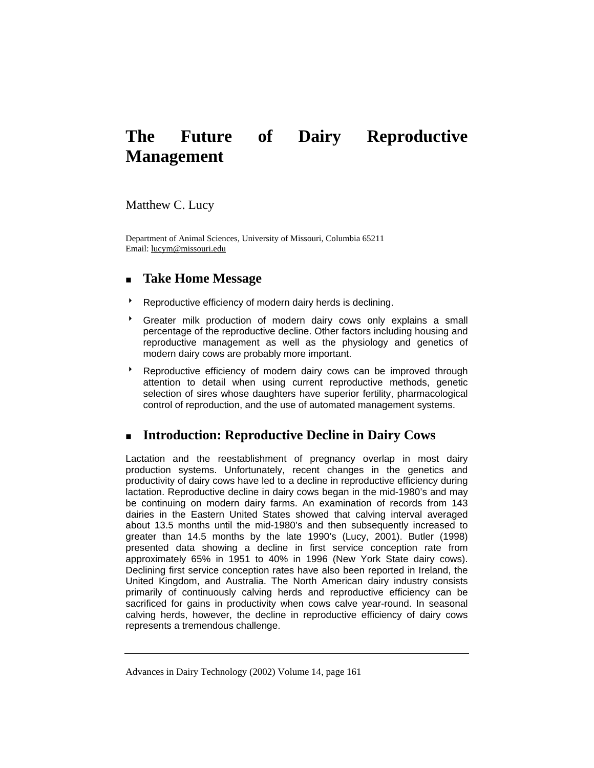# **The Future of Dairy Reproductive Management**

Matthew C. Lucy

Department of Animal Sciences, University of Missouri, Columbia 65211 Email: lucym@missouri.edu

# **Take Home Message**

- Reproductive efficiency of modern dairy herds is declining.
- Greater milk production of modern dairy cows only explains a small percentage of the reproductive decline. Other factors including housing and reproductive management as well as the physiology and genetics of modern dairy cows are probably more important.
- **BED** Reproductive efficiency of modern dairy cows can be improved through attention to detail when using current reproductive methods, genetic selection of sires whose daughters have superior fertility, pharmacological control of reproduction, and the use of automated management systems.

# **Introduction: Reproductive Decline in Dairy Cows**

Lactation and the reestablishment of pregnancy overlap in most dairy production systems. Unfortunately, recent changes in the genetics and productivity of dairy cows have led to a decline in reproductive efficiency during lactation. Reproductive decline in dairy cows began in the mid-1980's and may be continuing on modern dairy farms. An examination of records from 143 dairies in the Eastern United States showed that calving interval averaged about 13.5 months until the mid-1980's and then subsequently increased to greater than 14.5 months by the late 1990's (Lucy, 2001). Butler (1998) presented data showing a decline in first service conception rate from approximately 65% in 1951 to 40% in 1996 (New York State dairy cows). Declining first service conception rates have also been reported in Ireland, the United Kingdom, and Australia. The North American dairy industry consists primarily of continuously calving herds and reproductive efficiency can be sacrificed for gains in productivity when cows calve year-round. In seasonal calving herds, however, the decline in reproductive efficiency of dairy cows represents a tremendous challenge.

Advances in Dairy Technology (2002) Volume 14, page 161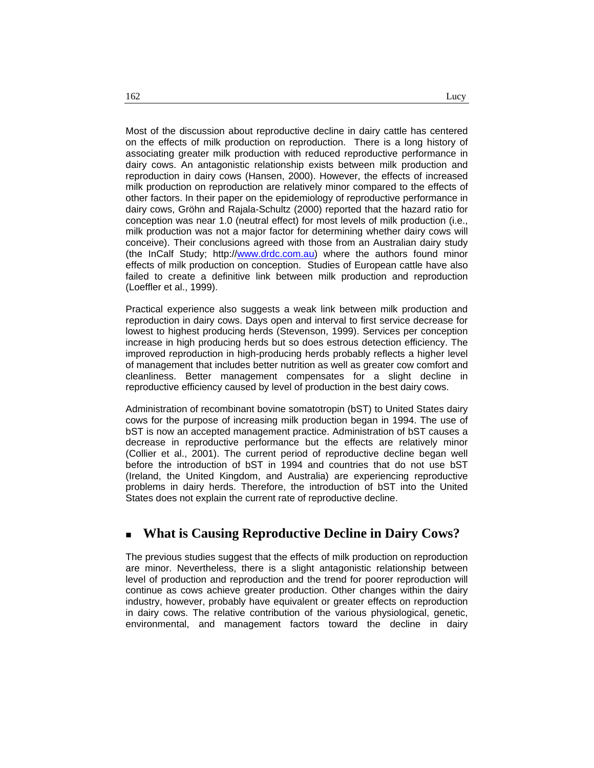Most of the discussion about reproductive decline in dairy cattle has centered on the effects of milk production on reproduction. There is a long history of associating greater milk production with reduced reproductive performance in dairy cows. An antagonistic relationship exists between milk production and reproduction in dairy cows (Hansen, 2000). However, the effects of increased milk production on reproduction are relatively minor compared to the effects of other factors. In their paper on the epidemiology of reproductive performance in dairy cows, Gröhn and Rajala-Schultz (2000) reported that the hazard ratio for conception was near 1.0 (neutral effect) for most levels of milk production (i.e., milk production was not a major factor for determining whether dairy cows will conceive). Their conclusions agreed with those from an Australian dairy study (the InCalf Study; http://www.drdc.com.au) where the authors found minor effects of milk production on conception. Studies of European cattle have also failed to create a definitive link between milk production and reproduction (Loeffler et al., 1999).

Practical experience also suggests a weak link between milk production and reproduction in dairy cows. Days open and interval to first service decrease for lowest to highest producing herds (Stevenson, 1999). Services per conception increase in high producing herds but so does estrous detection efficiency. The improved reproduction in high-producing herds probably reflects a higher level of management that includes better nutrition as well as greater cow comfort and cleanliness. Better management compensates for a slight decline in reproductive efficiency caused by level of production in the best dairy cows.

Administration of recombinant bovine somatotropin (bST) to United States dairy cows for the purpose of increasing milk production began in 1994. The use of bST is now an accepted management practice. Administration of bST causes a decrease in reproductive performance but the effects are relatively minor (Collier et al., 2001). The current period of reproductive decline began well before the introduction of bST in 1994 and countries that do not use bST (Ireland, the United Kingdom, and Australia) are experiencing reproductive problems in dairy herds. Therefore, the introduction of bST into the United States does not explain the current rate of reproductive decline.

## **What is Causing Reproductive Decline in Dairy Cows?**

The previous studies suggest that the effects of milk production on reproduction are minor. Nevertheless, there is a slight antagonistic relationship between level of production and reproduction and the trend for poorer reproduction will continue as cows achieve greater production. Other changes within the dairy industry, however, probably have equivalent or greater effects on reproduction in dairy cows. The relative contribution of the various physiological, genetic, environmental, and management factors toward the decline in dairy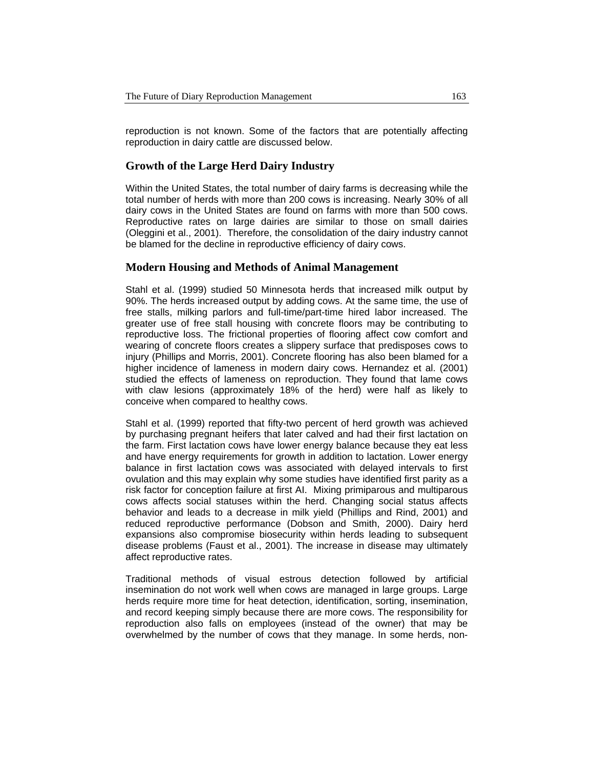reproduction is not known. Some of the factors that are potentially affecting reproduction in dairy cattle are discussed below.

#### **Growth of the Large Herd Dairy Industry**

Within the United States, the total number of dairy farms is decreasing while the total number of herds with more than 200 cows is increasing. Nearly 30% of all dairy cows in the United States are found on farms with more than 500 cows. Reproductive rates on large dairies are similar to those on small dairies (Oleggini et al., 2001). Therefore, the consolidation of the dairy industry cannot be blamed for the decline in reproductive efficiency of dairy cows.

#### **Modern Housing and Methods of Animal Management**

Stahl et al. (1999) studied 50 Minnesota herds that increased milk output by 90%. The herds increased output by adding cows. At the same time, the use of free stalls, milking parlors and full-time/part-time hired labor increased. The greater use of free stall housing with concrete floors may be contributing to reproductive loss. The frictional properties of flooring affect cow comfort and wearing of concrete floors creates a slippery surface that predisposes cows to injury (Phillips and Morris, 2001). Concrete flooring has also been blamed for a higher incidence of lameness in modern dairy cows. Hernandez et al. (2001) studied the effects of lameness on reproduction. They found that lame cows with claw lesions (approximately 18% of the herd) were half as likely to conceive when compared to healthy cows.

Stahl et al. (1999) reported that fifty-two percent of herd growth was achieved by purchasing pregnant heifers that later calved and had their first lactation on the farm. First lactation cows have lower energy balance because they eat less and have energy requirements for growth in addition to lactation. Lower energy balance in first lactation cows was associated with delayed intervals to first ovulation and this may explain why some studies have identified first parity as a risk factor for conception failure at first AI. Mixing primiparous and multiparous cows affects social statuses within the herd. Changing social status affects behavior and leads to a decrease in milk yield (Phillips and Rind, 2001) and reduced reproductive performance (Dobson and Smith, 2000). Dairy herd expansions also compromise biosecurity within herds leading to subsequent disease problems (Faust et al., 2001). The increase in disease may ultimately affect reproductive rates.

Traditional methods of visual estrous detection followed by artificial insemination do not work well when cows are managed in large groups. Large herds require more time for heat detection, identification, sorting, insemination, and record keeping simply because there are more cows. The responsibility for reproduction also falls on employees (instead of the owner) that may be overwhelmed by the number of cows that they manage. In some herds, non-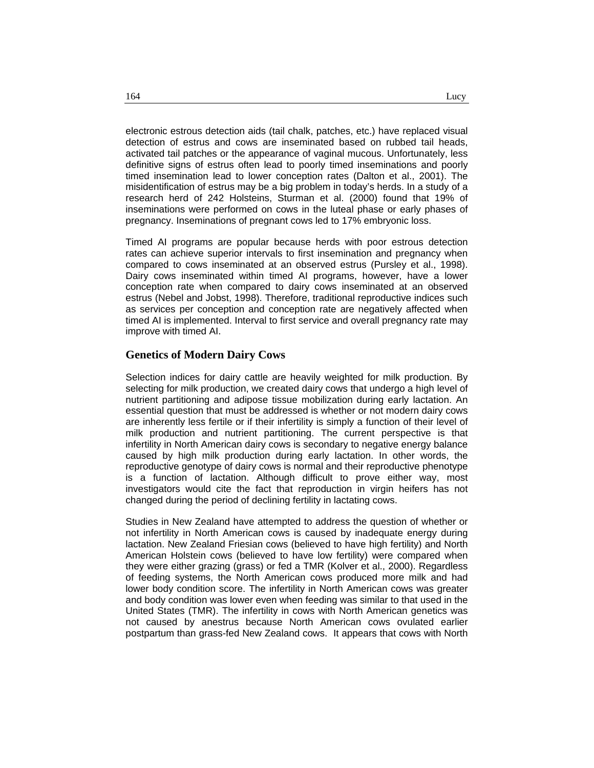electronic estrous detection aids (tail chalk, patches, etc.) have replaced visual detection of estrus and cows are inseminated based on rubbed tail heads, activated tail patches or the appearance of vaginal mucous. Unfortunately, less definitive signs of estrus often lead to poorly timed inseminations and poorly timed insemination lead to lower conception rates (Dalton et al., 2001). The misidentification of estrus may be a big problem in today's herds. In a study of a research herd of 242 Holsteins, Sturman et al. (2000) found that 19% of inseminations were performed on cows in the luteal phase or early phases of pregnancy. Inseminations of pregnant cows led to 17% embryonic loss.

Timed AI programs are popular because herds with poor estrous detection rates can achieve superior intervals to first insemination and pregnancy when compared to cows inseminated at an observed estrus (Pursley et al., 1998). Dairy cows inseminated within timed AI programs, however, have a lower conception rate when compared to dairy cows inseminated at an observed estrus (Nebel and Jobst, 1998). Therefore, traditional reproductive indices such as services per conception and conception rate are negatively affected when timed AI is implemented. Interval to first service and overall pregnancy rate may improve with timed AI.

#### **Genetics of Modern Dairy Cows**

Selection indices for dairy cattle are heavily weighted for milk production. By selecting for milk production, we created dairy cows that undergo a high level of nutrient partitioning and adipose tissue mobilization during early lactation. An essential question that must be addressed is whether or not modern dairy cows are inherently less fertile or if their infertility is simply a function of their level of milk production and nutrient partitioning. The current perspective is that infertility in North American dairy cows is secondary to negative energy balance caused by high milk production during early lactation. In other words, the reproductive genotype of dairy cows is normal and their reproductive phenotype is a function of lactation. Although difficult to prove either way, most investigators would cite the fact that reproduction in virgin heifers has not changed during the period of declining fertility in lactating cows.

Studies in New Zealand have attempted to address the question of whether or not infertility in North American cows is caused by inadequate energy during lactation. New Zealand Friesian cows (believed to have high fertility) and North American Holstein cows (believed to have low fertility) were compared when they were either grazing (grass) or fed a TMR (Kolver et al., 2000). Regardless of feeding systems, the North American cows produced more milk and had lower body condition score. The infertility in North American cows was greater and body condition was lower even when feeding was similar to that used in the United States (TMR). The infertility in cows with North American genetics was not caused by anestrus because North American cows ovulated earlier postpartum than grass-fed New Zealand cows. It appears that cows with North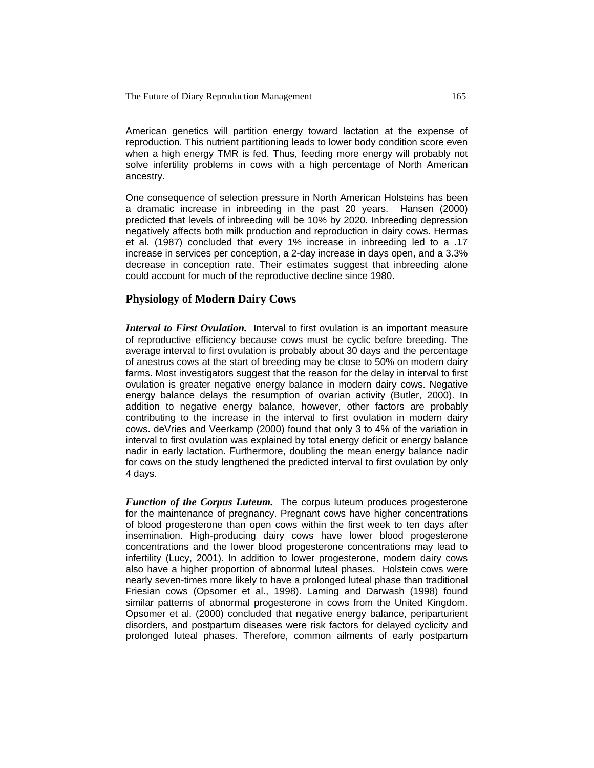American genetics will partition energy toward lactation at the expense of reproduction. This nutrient partitioning leads to lower body condition score even when a high energy TMR is fed. Thus, feeding more energy will probably not solve infertility problems in cows with a high percentage of North American ancestry.

One consequence of selection pressure in North American Holsteins has been a dramatic increase in inbreeding in the past 20 years. Hansen (2000) predicted that levels of inbreeding will be 10% by 2020. Inbreeding depression negatively affects both milk production and reproduction in dairy cows. Hermas et al. (1987) concluded that every 1% increase in inbreeding led to a .17 increase in services per conception, a 2-day increase in days open, and a 3.3% decrease in conception rate. Their estimates suggest that inbreeding alone could account for much of the reproductive decline since 1980.

### **Physiology of Modern Dairy Cows**

*Interval to First Ovulation.* Interval to first ovulation is an important measure of reproductive efficiency because cows must be cyclic before breeding. The average interval to first ovulation is probably about 30 days and the percentage of anestrus cows at the start of breeding may be close to 50% on modern dairy farms. Most investigators suggest that the reason for the delay in interval to first ovulation is greater negative energy balance in modern dairy cows. Negative energy balance delays the resumption of ovarian activity (Butler, 2000). In addition to negative energy balance, however, other factors are probably contributing to the increase in the interval to first ovulation in modern dairy cows. deVries and Veerkamp (2000) found that only 3 to 4% of the variation in interval to first ovulation was explained by total energy deficit or energy balance nadir in early lactation. Furthermore, doubling the mean energy balance nadir for cows on the study lengthened the predicted interval to first ovulation by only 4 days.

*Function of the Corpus Luteum.* The corpus luteum produces progesterone for the maintenance of pregnancy. Pregnant cows have higher concentrations of blood progesterone than open cows within the first week to ten days after insemination. High-producing dairy cows have lower blood progesterone concentrations and the lower blood progesterone concentrations may lead to infertility (Lucy, 2001). In addition to lower progesterone, modern dairy cows also have a higher proportion of abnormal luteal phases. Holstein cows were nearly seven-times more likely to have a prolonged luteal phase than traditional Friesian cows (Opsomer et al., 1998). Laming and Darwash (1998) found similar patterns of abnormal progesterone in cows from the United Kingdom. Opsomer et al. (2000) concluded that negative energy balance, periparturient disorders, and postpartum diseases were risk factors for delayed cyclicity and prolonged luteal phases. Therefore, common ailments of early postpartum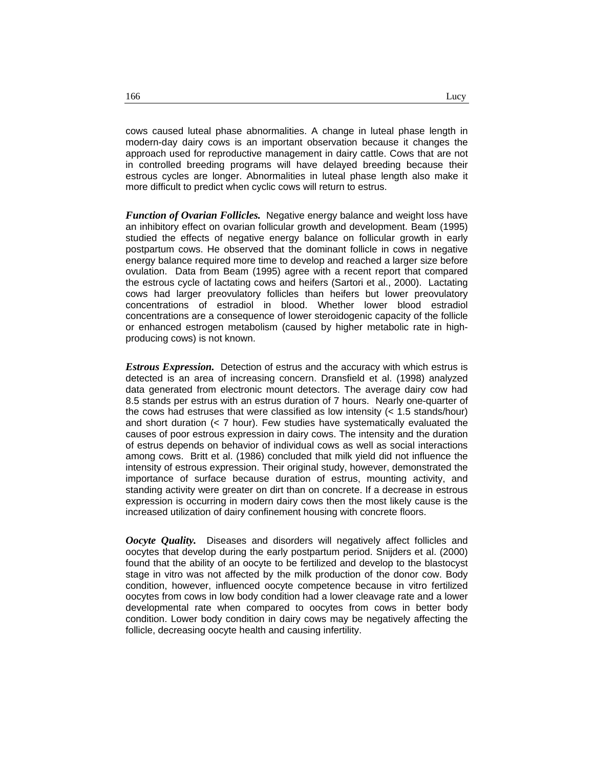cows caused luteal phase abnormalities. A change in luteal phase length in modern-day dairy cows is an important observation because it changes the approach used for reproductive management in dairy cattle. Cows that are not in controlled breeding programs will have delayed breeding because their estrous cycles are longer. Abnormalities in luteal phase length also make it more difficult to predict when cyclic cows will return to estrus.

*Function of Ovarian Follicles.* Negative energy balance and weight loss have an inhibitory effect on ovarian follicular growth and development. Beam (1995) studied the effects of negative energy balance on follicular growth in early postpartum cows. He observed that the dominant follicle in cows in negative energy balance required more time to develop and reached a larger size before ovulation. Data from Beam (1995) agree with a recent report that compared the estrous cycle of lactating cows and heifers (Sartori et al., 2000). Lactating cows had larger preovulatory follicles than heifers but lower preovulatory concentrations of estradiol in blood. Whether lower blood estradiol concentrations are a consequence of lower steroidogenic capacity of the follicle or enhanced estrogen metabolism (caused by higher metabolic rate in highproducing cows) is not known.

*Estrous Expression.* Detection of estrus and the accuracy with which estrus is detected is an area of increasing concern. Dransfield et al. (1998) analyzed data generated from electronic mount detectors. The average dairy cow had 8.5 stands per estrus with an estrus duration of 7 hours. Nearly one-quarter of the cows had estruses that were classified as low intensity (< 1.5 stands/hour) and short duration  $\left($  < 7 hour). Few studies have systematically evaluated the causes of poor estrous expression in dairy cows. The intensity and the duration of estrus depends on behavior of individual cows as well as social interactions among cows. Britt et al. (1986) concluded that milk yield did not influence the intensity of estrous expression. Their original study, however, demonstrated the importance of surface because duration of estrus, mounting activity, and standing activity were greater on dirt than on concrete. If a decrease in estrous expression is occurring in modern dairy cows then the most likely cause is the increased utilization of dairy confinement housing with concrete floors.

*Oocyte Quality.* Diseases and disorders will negatively affect follicles and oocytes that develop during the early postpartum period. Snijders et al. (2000) found that the ability of an oocyte to be fertilized and develop to the blastocyst stage in vitro was not affected by the milk production of the donor cow. Body condition, however, influenced oocyte competence because in vitro fertilized oocytes from cows in low body condition had a lower cleavage rate and a lower developmental rate when compared to oocytes from cows in better body condition. Lower body condition in dairy cows may be negatively affecting the follicle, decreasing oocyte health and causing infertility.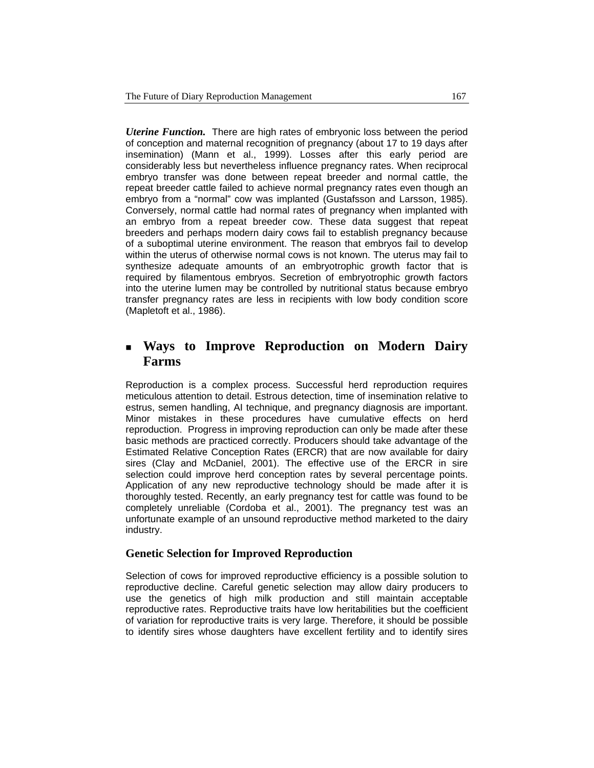*Uterine Function.* There are high rates of embryonic loss between the period of conception and maternal recognition of pregnancy (about 17 to 19 days after insemination) (Mann et al., 1999). Losses after this early period are considerably less but nevertheless influence pregnancy rates. When reciprocal embryo transfer was done between repeat breeder and normal cattle, the repeat breeder cattle failed to achieve normal pregnancy rates even though an embryo from a "normal" cow was implanted (Gustafsson and Larsson, 1985). Conversely, normal cattle had normal rates of pregnancy when implanted with an embryo from a repeat breeder cow. These data suggest that repeat breeders and perhaps modern dairy cows fail to establish pregnancy because of a suboptimal uterine environment. The reason that embryos fail to develop within the uterus of otherwise normal cows is not known. The uterus may fail to synthesize adequate amounts of an embryotrophic growth factor that is required by filamentous embryos. Secretion of embryotrophic growth factors into the uterine lumen may be controlled by nutritional status because embryo transfer pregnancy rates are less in recipients with low body condition score (Mapletoft et al., 1986).

# **Ways to Improve Reproduction on Modern Dairy Farms**

Reproduction is a complex process. Successful herd reproduction requires meticulous attention to detail. Estrous detection, time of insemination relative to estrus, semen handling, AI technique, and pregnancy diagnosis are important. Minor mistakes in these procedures have cumulative effects on herd reproduction. Progress in improving reproduction can only be made after these basic methods are practiced correctly. Producers should take advantage of the Estimated Relative Conception Rates (ERCR) that are now available for dairy sires (Clay and McDaniel, 2001). The effective use of the ERCR in sire selection could improve herd conception rates by several percentage points. Application of any new reproductive technology should be made after it is thoroughly tested. Recently, an early pregnancy test for cattle was found to be completely unreliable (Cordoba et al., 2001). The pregnancy test was an unfortunate example of an unsound reproductive method marketed to the dairy industry.

### **Genetic Selection for Improved Reproduction**

Selection of cows for improved reproductive efficiency is a possible solution to reproductive decline. Careful genetic selection may allow dairy producers to use the genetics of high milk production and still maintain acceptable reproductive rates. Reproductive traits have low heritabilities but the coefficient of variation for reproductive traits is very large. Therefore, it should be possible to identify sires whose daughters have excellent fertility and to identify sires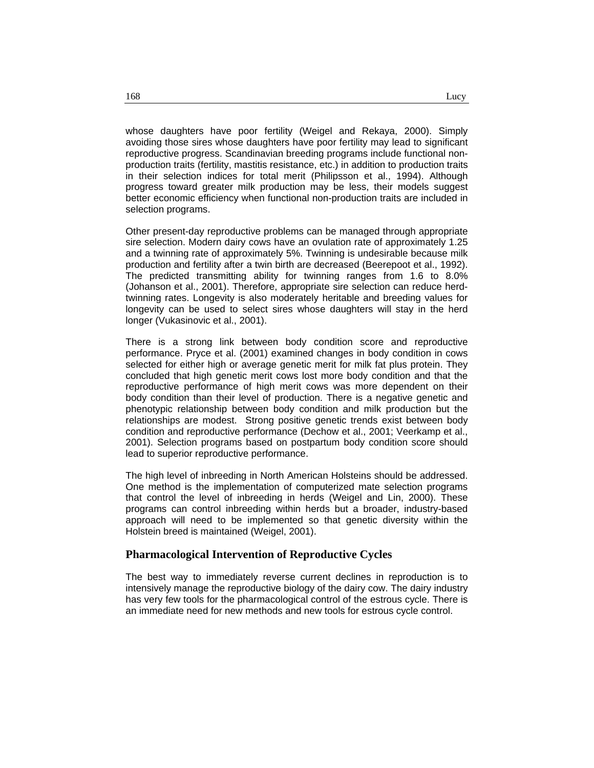whose daughters have poor fertility (Weigel and Rekaya, 2000). Simply avoiding those sires whose daughters have poor fertility may lead to significant reproductive progress. Scandinavian breeding programs include functional nonproduction traits (fertility, mastitis resistance, etc.) in addition to production traits in their selection indices for total merit (Philipsson et al., 1994). Although progress toward greater milk production may be less, their models suggest better economic efficiency when functional non-production traits are included in selection programs.

Other present-day reproductive problems can be managed through appropriate sire selection. Modern dairy cows have an ovulation rate of approximately 1.25 and a twinning rate of approximately 5%. Twinning is undesirable because milk production and fertility after a twin birth are decreased (Beerepoot et al., 1992). The predicted transmitting ability for twinning ranges from 1.6 to 8.0% (Johanson et al., 2001). Therefore, appropriate sire selection can reduce herdtwinning rates. Longevity is also moderately heritable and breeding values for longevity can be used to select sires whose daughters will stay in the herd longer (Vukasinovic et al., 2001).

There is a strong link between body condition score and reproductive performance. Pryce et al. (2001) examined changes in body condition in cows selected for either high or average genetic merit for milk fat plus protein. They concluded that high genetic merit cows lost more body condition and that the reproductive performance of high merit cows was more dependent on their body condition than their level of production. There is a negative genetic and phenotypic relationship between body condition and milk production but the relationships are modest. Strong positive genetic trends exist between body condition and reproductive performance (Dechow et al., 2001; Veerkamp et al., 2001). Selection programs based on postpartum body condition score should lead to superior reproductive performance.

The high level of inbreeding in North American Holsteins should be addressed. One method is the implementation of computerized mate selection programs that control the level of inbreeding in herds (Weigel and Lin, 2000). These programs can control inbreeding within herds but a broader, industry-based approach will need to be implemented so that genetic diversity within the Holstein breed is maintained (Weigel, 2001).

#### **Pharmacological Intervention of Reproductive Cycles**

The best way to immediately reverse current declines in reproduction is to intensively manage the reproductive biology of the dairy cow. The dairy industry has very few tools for the pharmacological control of the estrous cycle. There is an immediate need for new methods and new tools for estrous cycle control.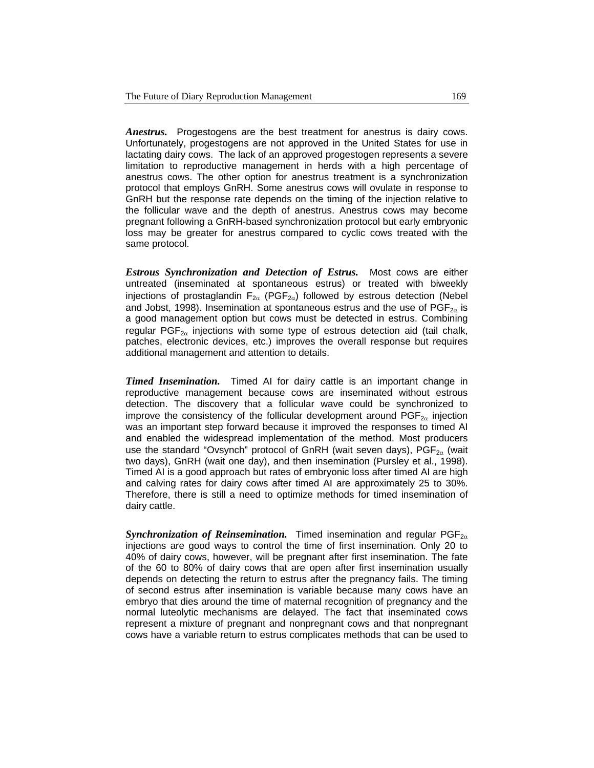*Anestrus.* Progestogens are the best treatment for anestrus is dairy cows. Unfortunately, progestogens are not approved in the United States for use in lactating dairy cows. The lack of an approved progestogen represents a severe limitation to reproductive management in herds with a high percentage of anestrus cows. The other option for anestrus treatment is a synchronization protocol that employs GnRH. Some anestrus cows will ovulate in response to GnRH but the response rate depends on the timing of the injection relative to the follicular wave and the depth of anestrus. Anestrus cows may become pregnant following a GnRH-based synchronization protocol but early embryonic loss may be greater for anestrus compared to cyclic cows treated with the same protocol.

*Estrous Synchronization and Detection of Estrus.* Most cows are either untreated (inseminated at spontaneous estrus) or treated with biweekly injections of prostaglandin  $F_{2\alpha}$  (PGF<sub>2 $\alpha$ </sub>) followed by estrous detection (Nebel and Jobst, 1998). Insemination at spontaneous estrus and the use of  $PGF_{2\alpha}$  is a good management option but cows must be detected in estrus. Combining regular  $PGF_{2\alpha}$  injections with some type of estrous detection aid (tail chalk, patches, electronic devices, etc.) improves the overall response but requires additional management and attention to details.

*Timed Insemination.* Timed AI for dairy cattle is an important change in reproductive management because cows are inseminated without estrous detection. The discovery that a follicular wave could be synchronized to improve the consistency of the follicular development around  $PGF_{2\alpha}$  injection was an important step forward because it improved the responses to timed AI and enabled the widespread implementation of the method. Most producers use the standard "Ovsynch" protocol of GnRH (wait seven days),  $PGF_{2\alpha}$  (wait two days), GnRH (wait one day), and then insemination (Pursley et al., 1998). Timed AI is a good approach but rates of embryonic loss after timed AI are high and calving rates for dairy cows after timed AI are approximately 25 to 30%. Therefore, there is still a need to optimize methods for timed insemination of dairy cattle.

*Synchronization of Reinsemination.* Timed insemination and regular PGF<sub>2α</sub> injections are good ways to control the time of first insemination. Only 20 to 40% of dairy cows, however, will be pregnant after first insemination. The fate of the 60 to 80% of dairy cows that are open after first insemination usually depends on detecting the return to estrus after the pregnancy fails. The timing of second estrus after insemination is variable because many cows have an embryo that dies around the time of maternal recognition of pregnancy and the normal luteolytic mechanisms are delayed. The fact that inseminated cows represent a mixture of pregnant and nonpregnant cows and that nonpregnant cows have a variable return to estrus complicates methods that can be used to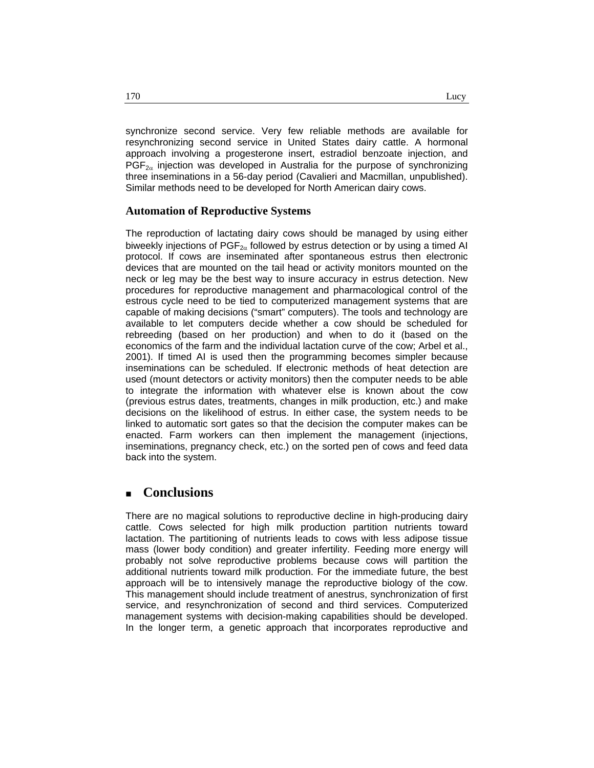synchronize second service. Very few reliable methods are available for resynchronizing second service in United States dairy cattle. A hormonal approach involving a progesterone insert, estradiol benzoate injection, and  $PGF_{2\alpha}$  injection was developed in Australia for the purpose of synchronizing three inseminations in a 56-day period (Cavalieri and Macmillan, unpublished). Similar methods need to be developed for North American dairy cows.

#### **Automation of Reproductive Systems**

The reproduction of lactating dairy cows should be managed by using either biweekly injections of  $PGF_{2\alpha}$  followed by estrus detection or by using a timed AI protocol. If cows are inseminated after spontaneous estrus then electronic devices that are mounted on the tail head or activity monitors mounted on the neck or leg may be the best way to insure accuracy in estrus detection. New procedures for reproductive management and pharmacological control of the estrous cycle need to be tied to computerized management systems that are capable of making decisions ("smart" computers). The tools and technology are available to let computers decide whether a cow should be scheduled for rebreeding (based on her production) and when to do it (based on the economics of the farm and the individual lactation curve of the cow; Arbel et al., 2001). If timed AI is used then the programming becomes simpler because inseminations can be scheduled. If electronic methods of heat detection are used (mount detectors or activity monitors) then the computer needs to be able to integrate the information with whatever else is known about the cow (previous estrus dates, treatments, changes in milk production, etc.) and make decisions on the likelihood of estrus. In either case, the system needs to be linked to automatic sort gates so that the decision the computer makes can be enacted. Farm workers can then implement the management (injections, inseminations, pregnancy check, etc.) on the sorted pen of cows and feed data back into the system.

## **Conclusions**

There are no magical solutions to reproductive decline in high-producing dairy cattle. Cows selected for high milk production partition nutrients toward lactation. The partitioning of nutrients leads to cows with less adipose tissue mass (lower body condition) and greater infertility. Feeding more energy will probably not solve reproductive problems because cows will partition the additional nutrients toward milk production. For the immediate future, the best approach will be to intensively manage the reproductive biology of the cow. This management should include treatment of anestrus, synchronization of first service, and resynchronization of second and third services. Computerized management systems with decision-making capabilities should be developed. In the longer term, a genetic approach that incorporates reproductive and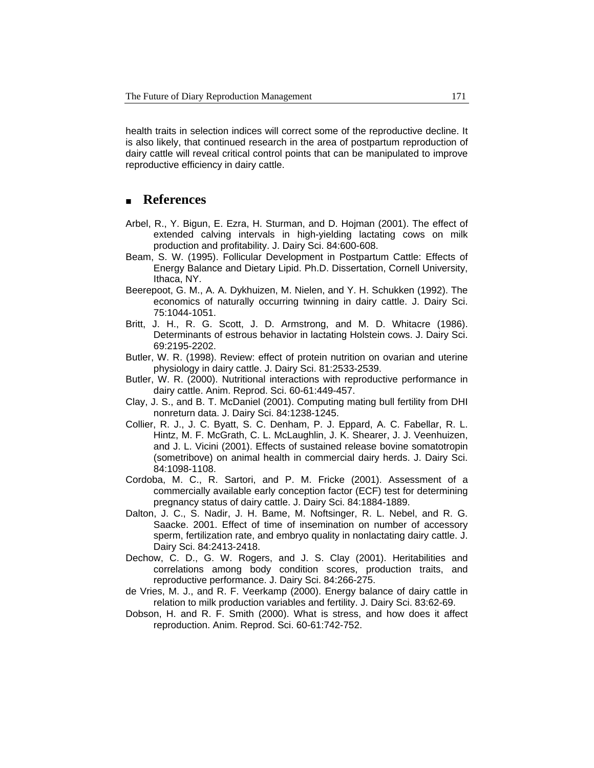health traits in selection indices will correct some of the reproductive decline. It is also likely, that continued research in the area of postpartum reproduction of dairy cattle will reveal critical control points that can be manipulated to improve reproductive efficiency in dairy cattle.

## **References**

- Arbel, R., Y. Bigun, E. Ezra, H. Sturman, and D. Hojman (2001). The effect of extended calving intervals in high-yielding lactating cows on milk production and profitability. J. Dairy Sci. 84:600-608.
- Beam, S. W. (1995). Follicular Development in Postpartum Cattle: Effects of Energy Balance and Dietary Lipid. Ph.D. Dissertation, Cornell University, Ithaca, NY.
- Beerepoot, G. M., A. A. Dykhuizen, M. Nielen, and Y. H. Schukken (1992). The economics of naturally occurring twinning in dairy cattle. J. Dairy Sci. 75:1044-1051.
- Britt, J. H., R. G. Scott, J. D. Armstrong, and M. D. Whitacre (1986). Determinants of estrous behavior in lactating Holstein cows. J. Dairy Sci. 69:2195-2202.
- Butler, W. R. (1998). Review: effect of protein nutrition on ovarian and uterine physiology in dairy cattle. J. Dairy Sci. 81:2533-2539.
- Butler, W. R. (2000). Nutritional interactions with reproductive performance in dairy cattle. Anim. Reprod. Sci. 60-61:449-457.
- Clay, J. S., and B. T. McDaniel (2001). Computing mating bull fertility from DHI nonreturn data. J. Dairy Sci. 84:1238-1245.
- Collier, R. J., J. C. Byatt, S. C. Denham, P. J. Eppard, A. C. Fabellar, R. L. Hintz, M. F. McGrath, C. L. McLaughlin, J. K. Shearer, J. J. Veenhuizen, and J. L. Vicini (2001). Effects of sustained release bovine somatotropin (sometribove) on animal health in commercial dairy herds. J. Dairy Sci. 84:1098-1108.
- Cordoba, M. C., R. Sartori, and P. M. Fricke (2001). Assessment of a commercially available early conception factor (ECF) test for determining pregnancy status of dairy cattle. J. Dairy Sci. 84:1884-1889.
- Dalton, J. C., S. Nadir, J. H. Bame, M. Noftsinger, R. L. Nebel, and R. G. Saacke. 2001. Effect of time of insemination on number of accessory sperm, fertilization rate, and embryo quality in nonlactating dairy cattle. J. Dairy Sci. 84:2413-2418.
- Dechow, C. D., G. W. Rogers, and J. S. Clay (2001). Heritabilities and correlations among body condition scores, production traits, and reproductive performance. J. Dairy Sci. 84:266-275.
- de Vries, M. J., and R. F. Veerkamp (2000). Energy balance of dairy cattle in relation to milk production variables and fertility. J. Dairy Sci. 83:62-69.
- Dobson, H. and R. F. Smith (2000). What is stress, and how does it affect reproduction. Anim. Reprod. Sci. 60-61:742-752.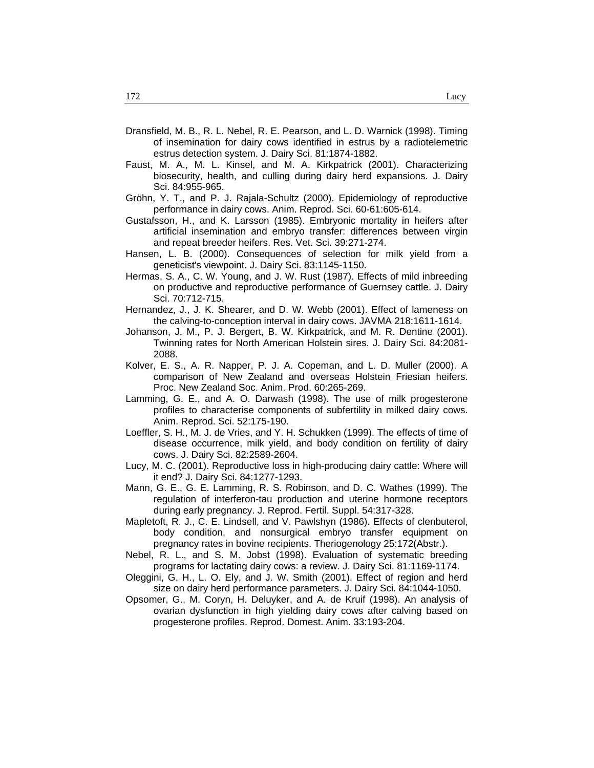- Dransfield, M. B., R. L. Nebel, R. E. Pearson, and L. D. Warnick (1998). Timing of insemination for dairy cows identified in estrus by a radiotelemetric estrus detection system. J. Dairy Sci. 81:1874-1882.
- Faust, M. A., M. L. Kinsel, and M. A. Kirkpatrick (2001). Characterizing biosecurity, health, and culling during dairy herd expansions. J. Dairy Sci. 84:955-965.
- Gröhn, Y. T., and P. J. Rajala-Schultz (2000). Epidemiology of reproductive performance in dairy cows. Anim. Reprod. Sci. 60-61:605-614.
- Gustafsson, H., and K. Larsson (1985). Embryonic mortality in heifers after artificial insemination and embryo transfer: differences between virgin and repeat breeder heifers. Res. Vet. Sci. 39:271-274.
- Hansen, L. B. (2000). Consequences of selection for milk yield from a geneticist's viewpoint. J. Dairy Sci. 83:1145-1150.
- Hermas, S. A., C. W. Young, and J. W. Rust (1987). Effects of mild inbreeding on productive and reproductive performance of Guernsey cattle. J. Dairy Sci. 70:712-715.
- Hernandez, J., J. K. Shearer, and D. W. Webb (2001). Effect of lameness on the calving-to-conception interval in dairy cows. JAVMA 218:1611-1614.
- Johanson, J. M., P. J. Bergert, B. W. Kirkpatrick, and M. R. Dentine (2001). Twinning rates for North American Holstein sires. J. Dairy Sci. 84:2081- 2088.
- Kolver, E. S., A. R. Napper, P. J. A. Copeman, and L. D. Muller (2000). A comparison of New Zealand and overseas Holstein Friesian heifers. Proc. New Zealand Soc. Anim. Prod. 60:265-269.
- Lamming, G. E., and A. O. Darwash (1998). The use of milk progesterone profiles to characterise components of subfertility in milked dairy cows. Anim. Reprod. Sci. 52:175-190.
- Loeffler, S. H., M. J. de Vries, and Y. H. Schukken (1999). The effects of time of disease occurrence, milk yield, and body condition on fertility of dairy cows. J. Dairy Sci. 82:2589-2604.
- Lucy, M. C. (2001). Reproductive loss in high-producing dairy cattle: Where will it end? J. Dairy Sci. 84:1277-1293.
- Mann, G. E., G. E. Lamming, R. S. Robinson, and D. C. Wathes (1999). The regulation of interferon-tau production and uterine hormone receptors during early pregnancy. J. Reprod. Fertil. Suppl. 54:317-328.
- Mapletoft, R. J., C. E. Lindsell, and V. Pawlshyn (1986). Effects of clenbuterol, body condition, and nonsurgical embryo transfer equipment on pregnancy rates in bovine recipients. Theriogenology 25:172(Abstr.).
- Nebel, R. L., and S. M. Jobst (1998). Evaluation of systematic breeding programs for lactating dairy cows: a review. J. Dairy Sci. 81:1169-1174.
- Oleggini, G. H., L. O. Ely, and J. W. Smith (2001). Effect of region and herd size on dairy herd performance parameters. J. Dairy Sci. 84:1044-1050.
- Opsomer, G., M. Coryn, H. Deluyker, and A. de Kruif (1998). An analysis of ovarian dysfunction in high yielding dairy cows after calving based on progesterone profiles. Reprod. Domest. Anim. 33:193-204.